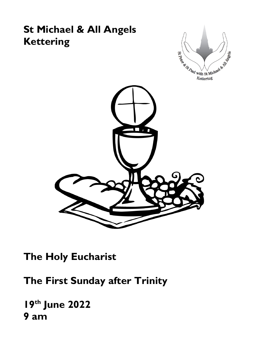# **St Michael & All Angels Kettering**





**The Holy Eucharist** 

**The First Sunday after Trinity**

**19th June 2022 9 am**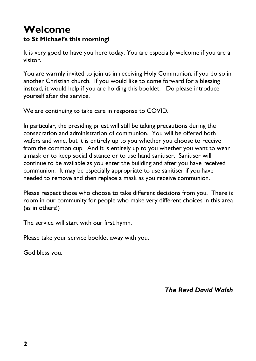## **Welcome to St Michael's this morning!**

It is very good to have you here today. You are especially welcome if you are a visitor.

You are warmly invited to join us in receiving Holy Communion, if you do so in another Christian church. If you would like to come forward for a blessing instead, it would help if you are holding this booklet. Do please introduce yourself after the service.

We are continuing to take care in response to COVID.

In particular, the presiding priest will still be taking precautions during the consecration and administration of communion. You will be offered both wafers and wine, but it is entirely up to you whether you choose to receive from the common cup. And it is entirely up to you whether you want to wear a mask or to keep social distance or to use hand sanitiser. Sanitiser will continue to be available as you enter the building and after you have received communion. It may be especially appropriate to use sanitiser if you have needed to remove and then replace a mask as you receive communion.

Please respect those who choose to take different decisions from you. There is room in our community for people who make very different choices in this area (as in others!)

The service will start with our first hymn.

Please take your service booklet away with you.

God bless you.

*The Revd David Walsh*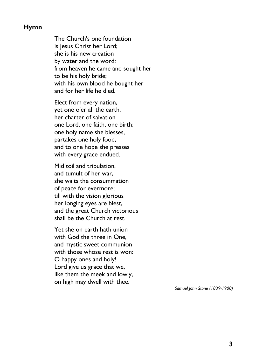#### **Hymn**

The Church's one foundation is Jesus Christ her Lord; she is his new creation by water and the word: from heaven he came and sought her to be his holy bride; with his own blood he bought her and for her life he died.

Elect from every nation, yet one o'er all the earth, her charter of salvation one Lord, one faith, one birth; one holy name she blesses, partakes one holy food, and to one hope she presses with every grace endued.

Mid toil and tribulation, and tumult of her war, she waits the consummation of peace for evermore; till with the vision glorious her longing eyes are blest, and the great Church victorious shall be the Church at rest.

Yet she on earth hath union with God the three in One, and mystic sweet communion with those whose rest is won: O happy ones and holy! Lord give us grace that we, like them the meek and lowly, on high may dwell with thee.

*Samuel John Stone (1839-1900)*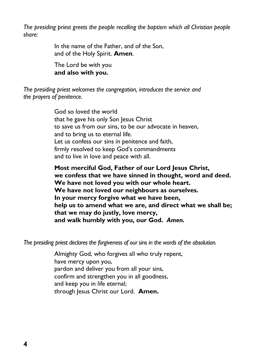*The presiding priest greets the people recalling the baptism which all Christian people share:*

> In the name of the Father, and of the Son, and of the Holy Spirit. **Amen**.

The Lord be with you **and also with you.**

*The presiding priest welcomes the congregation, introduces the service and the prayers of penitence.*

> God so loved the world that he gave his only Son Jesus Christ to save us from our sins, to be our advocate in heaven, and to bring us to eternal life. Let us confess our sins in penitence and faith, firmly resolved to keep God's commandments and to live in love and peace with all.

**Most merciful God, Father of our Lord Jesus Christ, we confess that we have sinned in thought, word and deed. We have not loved you with our whole heart. We have not loved our neighbours as ourselves. In your mercy forgive what we have been, help us to amend what we are, and direct what we shall be; that we may do justly, love mercy, and walk humbly with you, our God.** *Amen.*

*The presiding priest declares the forgiveness of our sins in the words of the absolution.*

Almighty God, who forgives all who truly repent, have mercy upon you, pardon and deliver you from all your sins, confirm and strengthen you in all goodness, and keep you in life eternal; through Jesus Christ our Lord. **Amen.**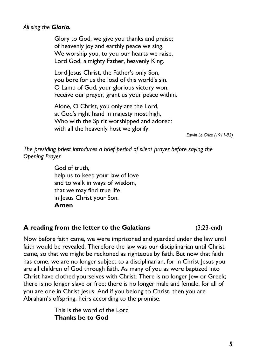*All sing the Gloria.*

Glory to God, we give you thanks and praise; of heavenly joy and earthly peace we sing. We worship you, to you our hearts we raise, Lord God, almighty Father, heavenly King.

Lord Jesus Christ, the Father's only Son, you bore for us the load of this world's sin. O Lamb of God, your glorious victory won, receive our prayer, grant us your peace within.

Alone, O Christ, you only are the Lord, at God's right hand in majesty most high, Who with the Spirit worshipped and adored: with all the heavenly host we glorify.

*Edwin Le Grice (1911-92)*

*The presiding priest introduces a brief period of silent prayer before saying the Opening Prayer*

> God of truth, help us to keep your law of love and to walk in ways of wisdom, that we may find true life in Jesus Christ your Son. **Amen**

## **A reading from the letter to the Galatians** (3:23-end)

Now before faith came, we were imprisoned and guarded under the law until faith would be revealed. Therefore the law was our disciplinarian until Christ came, so that we might be reckoned as righteous by faith. But now that faith has come, we are no longer subject to a disciplinarian, for in Christ Jesus you are all children of God through faith. As many of you as were baptized into Christ have clothed yourselves with Christ. There is no longer lew or Greek; there is no longer slave or free; there is no longer male and female, for all of you are one in Christ Jesus. And if you belong to Christ, then you are Abraham's offspring, heirs according to the promise.

> This is the word of the Lord **Thanks be to God**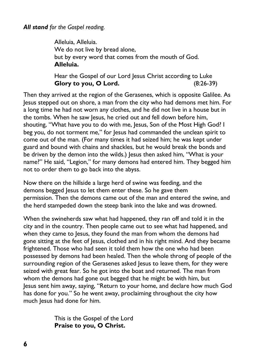Alleluia, Alleluia. We do not live by bread alone, but by every word that comes from the mouth of God. **Alleluia.**

Hear the Gospel of our Lord Jesus Christ according to Luke **Glory to you, O Lord.** (8:26-39)

Then they arrived at the region of the Gerasenes, which is opposite Galilee. As Jesus stepped out on shore, a man from the city who had demons met him. For a long time he had not worn any clothes, and he did not live in a house but in the tombs. When he saw lesus, he cried out and fell down before him, shouting, "What have you to do with me, Jesus, Son of the Most High God? I beg you, do not torment me," for Jesus had commanded the unclean spirit to come out of the man. (For many times it had seized him; he was kept under guard and bound with chains and shackles, but he would break the bonds and be driven by the demon into the wilds.) Jesus then asked him, "What is your name?" He said, "Legion," for many demons had entered him. They begged him not to order them to go back into the abyss.

Now there on the hillside a large herd of swine was feeding, and the demons begged Jesus to let them enter these. So he gave them permission. Then the demons came out of the man and entered the swine, and the herd stampeded down the steep bank into the lake and was drowned.

When the swineherds saw what had happened, they ran off and told it in the city and in the country. Then people came out to see what had happened, and when they came to Jesus, they found the man from whom the demons had gone sitting at the feet of Jesus, clothed and in his right mind. And they became frightened. Those who had seen it told them how the one who had been possessed by demons had been healed. Then the whole throng of people of the surrounding region of the Gerasenes asked Jesus to leave them, for they were seized with great fear. So he got into the boat and returned. The man from whom the demons had gone out begged that he might be with him, but Jesus sent him away, saying, "Return to your home, and declare how much God has done for you." So he went away, proclaiming throughout the city how much Jesus had done for him.

> This is the Gospel of the Lord  **Praise to you, O Christ.**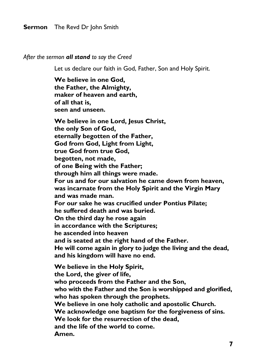#### **Sermon** The Revd Dr John Smith

#### *After the sermon all stand to say the Creed*

Let us declare our faith in God, Father, Son and Holy Spirit.

**We believe in one God, the Father, the Almighty, maker of heaven and earth, of all that is, seen and unseen. We believe in one Lord, Jesus Christ, the only Son of God, eternally begotten of the Father, God from God, Light from Light, true God from true God, begotten, not made, of one Being with the Father; through him all things were made. For us and for our salvation he came down from heaven, was incarnate from the Holy Spirit and the Virgin Mary and was made man. For our sake he was crucified under Pontius Pilate; he suffered death and was buried. On the third day he rose again in accordance with the Scriptures; he ascended into heaven and is seated at the right hand of the Father. He will come again in glory to judge the living and the dead, and his kingdom will have no end. We believe in the Holy Spirit,** 

**the Lord, the giver of life, who proceeds from the Father and the Son, who with the Father and the Son is worshipped and glorified, who has spoken through the prophets. We believe in one holy catholic and apostolic Church. We acknowledge one baptism for the forgiveness of sins. We look for the resurrection of the dead, and the life of the world to come. Amen.**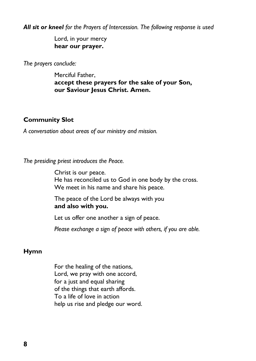*All sit or kneel for the Prayers of Intercession. The following response is used*

Lord, in your mercy **hear our prayer.**

*The prayers conclude:*

Merciful Father, **accept these prayers for the sake of your Son, our Saviour Jesus Christ. Amen.**

## **Community Slot**

*A conversation about areas of our ministry and mission.*

*The presiding priest introduces the Peace.* 

Christ is our peace. He has reconciled us to God in one body by the cross. We meet in his name and share his peace.

The peace of the Lord be always with you **and also with you.**

Let us offer one another a sign of peace.

*Please exchange a sign of peace with others, if you are able.*

## **Hymn**

For the healing of the nations, Lord, we pray with one accord, for a just and equal sharing of the things that earth affords. To a life of love in action help us rise and pledge our word.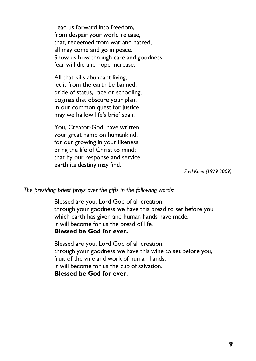Lead us forward into freedom, from despair your world release, that, redeemed from war and hatred, all may come and go in peace. Show us how through care and goodness fear will die and hope increase.

All that kills abundant living, let it from the earth be banned: pride of status, race or schooling, dogmas that obscure your plan. In our common quest for justice may we hallow life's brief span.

You, Creator-God, have written your great name on humankind; for our growing in your likeness bring the life of Christ to mind; that by our response and service earth its destiny may find.

*Fred Kaan (1929-2009)*

*The presiding priest prays over the gifts in the following words:*

Blessed are you, Lord God of all creation: through your goodness we have this bread to set before you, which earth has given and human hands have made. It will become for us the bread of life. **Blessed be God for ever.** 

Blessed are you, Lord God of all creation: through your goodness we have this wine to set before you, fruit of the vine and work of human hands. It will become for us the cup of salvation. **Blessed be God for ever.**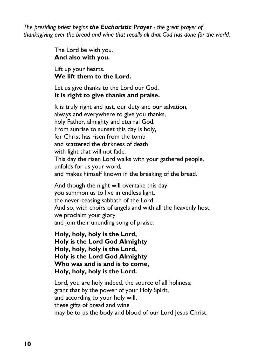*The presiding priest begins the Eucharistic Prayer - the great prayer of thanksgiving over the bread and wine that recalls all that God has done for the world.* 

> The Lord be with you. **And also with you.**

Lift up your hearts. **We lift them to the Lord.**

Let us give thanks to the Lord our God. **It is right to give thanks and praise.**

It is truly right and just, our duty and our salvation, always and everywhere to give you thanks, holy Father, almighty and eternal God. From sunrise to sunset this day is holy, for Christ has risen from the tomb and scattered the darkness of death with light that will not fade. This day the risen Lord walks with your gathered people, unfolds for us your word, and makes himself known in the breaking of the bread.

And though the night will overtake this day you summon us to live in endless light, the never-ceasing sabbath of the Lord. And so, with choirs of angels and with all the heavenly host, we proclaim your glory and join their unending song of praise:

**Holy, holy, holy is the Lord, Holy is the Lord God Almighty Holy, holy, holy is the Lord, Holy is the Lord God Almighty Who was and is and is to come, Holy, holy, holy is the Lord.**

Lord, you are holy indeed, the source of all holiness; grant that by the power of your Holy Spirit, and according to your holy will, these gifts of bread and wine may be to us the body and blood of our Lord Jesus Christ;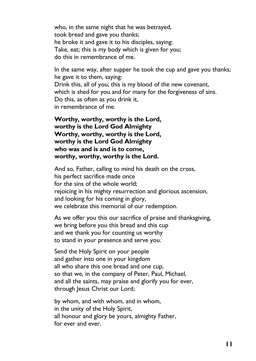who, in the same night that he was betrayed, took bread and gave you thanks; he broke it and gave it to his disciples, saying: Take, eat; this is my body which is given for you; do this in remembrance of me.

In the same way, after supper he took the cup and gave you thanks; he gave it to them, saying: Drink this, all of you; this is my blood of the new covenant, which is shed for you and for many for the forgiveness of sins. Do this, as often as you drink it, in remembrance of me.

## **Worthy, worthy, worthy is the Lord, worthy is the Lord God Almighty Worthy, worthy, worthy is the Lord, worthy is the Lord God Almighty who was and is and is to come, worthy, worthy, worthy is the Lord.**

And so, Father, calling to mind his death on the cross, his perfect sacrifice made once for the sins of the whole world; rejoicing in his mighty resurrection and glorious ascension, and looking for his coming in glory, we celebrate this memorial of our redemption.

As we offer you this our sacrifice of praise and thanksgiving, we bring before you this bread and this cup and we thank you for counting us worthy to stand in your presence and serve you.

Send the Holy Spirit on your people and gather into one in your kingdom all who share this one bread and one cup, so that we, in the company of Peter, Paul, Michael, and all the saints, may praise and glorify you for ever, through Jesus Christ our Lord;

by whom, and with whom, and in whom, in the unity of the Holy Spirit, all honour and glory be yours, almighty Father, for ever and ever.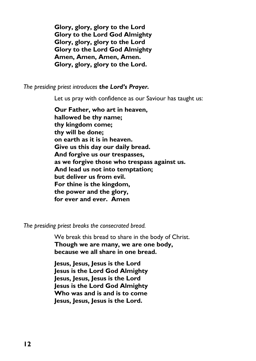**Glory, glory, glory to the Lord Glory to the Lord God Almighty Glory, glory, glory to the Lord Glory to the Lord God Almighty Amen, Amen, Amen, Amen. Glory, glory, glory to the Lord.**

*The presiding priest introduces the Lord's Prayer.* 

Let us pray with confidence as our Saviour has taught us:

**Our Father, who art in heaven, hallowed be thy name; thy kingdom come; thy will be done; on earth as it is in heaven. Give us this day our daily bread. And forgive us our trespasses, as we forgive those who trespass against us. And lead us not into temptation; but deliver us from evil. For thine is the kingdom, the power and the glory, for ever and ever. Amen**

*The presiding priest breaks the consecrated bread.*

We break this bread to share in the body of Christ. **Though we are many, we are one body, because we all share in one bread.**

**Jesus, Jesus, Jesus is the Lord Jesus is the Lord God Almighty Jesus, Jesus, Jesus is the Lord Jesus is the Lord God Almighty Who was and is and is to come Jesus, Jesus, Jesus is the Lord.**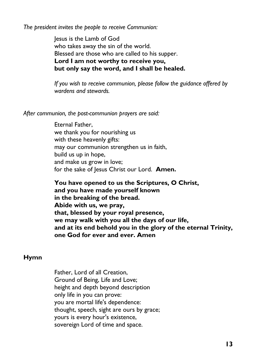*The president invites the people to receive Communion:*

Jesus is the Lamb of God who takes away the sin of the world. Blessed are those who are called to his supper. **Lord I am not worthy to receive you, but only say the word, and I shall be healed.**

*If you wish to receive communion, please follow the guidance offered by wardens and stewards.* 

*After communion, the post-communion prayers are said:*

Eternal Father, we thank you for nourishing us with these heavenly gifts: may our communion strengthen us in faith, build us up in hope, and make us grow in love; for the sake of Jesus Christ our Lord. **Amen.**

**You have opened to us the Scriptures, O Christ, and you have made yourself known in the breaking of the bread. Abide with us, we pray, that, blessed by your royal presence, we may walk with you all the days of our life, and at its end behold you in the glory of the eternal Trinity, one God for ever and ever. Amen**

## **Hymn**

Father, Lord of all Creation, Ground of Being, Life and Love; height and depth beyond description only life in you can prove: you are mortal life's dependence: thought, speech, sight are ours by grace; yours is every hour's existence, sovereign Lord of time and space.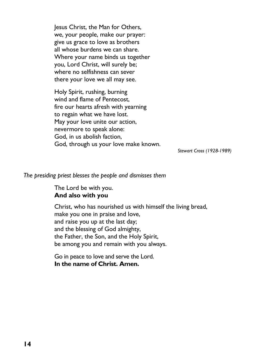Jesus Christ, the Man for Others, we, your people, make our prayer: give us grace to love as brothers all whose burdens we can share. Where your name binds us together you, Lord Christ, will surely be; where no selfishness can sever there your love we all may see.

Holy Spirit, rushing, burning wind and flame of Pentecost, fire our hearts afresh with yearning to regain what we have lost. May your love unite our action, nevermore to speak alone: God, in us abolish faction, God, through us your love make known.

*Stewart Cross (1928-1989)*

#### *The presiding priest blesses the people and dismisses them*

#### The Lord be with you. **And also with you**

Christ, who has nourished us with himself the living bread, make you one in praise and love, and raise you up at the last day; and the blessing of God almighty, the Father, the Son, and the Holy Spirit, be among you and remain with you always.

Go in peace to love and serve the Lord. **In the name of Christ. Amen.**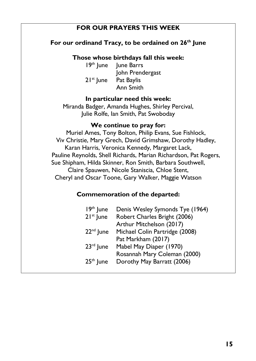## **FOR OUR PRAYERS THIS WEEK**

## For our ordinand Tracy, to be ordained on 26<sup>th</sup> June

#### **Those whose birthdays fall this week:**

19th June June Barrs John Prendergast 2<sup>1st</sup> June Pat Baylis Ann Smith

#### **In particular need this week:**

Miranda Badger, Amanda Hughes, Shirley Percival, Julie Rolfe, Ian Smith, Pat Swoboday

#### **We continue to pray for:**

Muriel Ames, Tony Bolton, Philip Evans, Sue Fishlock, Viv Christie, Mary Grech, David Grimshaw, Dorothy Hadley, Karan Harris, Veronica Kennedy, Margaret Lack, Pauline Reynolds, Shell Richards, Marian Richardson, Pat Rogers, Sue Shipham, Hilda Skinner, Ron Smith, Barbara Southwell, Claire Spauwen, Nicole Staniscia, Chloe Stent, Cheryl and Oscar Toone, Gary Walker, Maggie Watson

## **Commemoration of the departed:**

| $19th$ June    | Denis Wesley Symonds Tye (1964) |
|----------------|---------------------------------|
| $21^{st}$ June | Robert Charles Bright (2006)    |
|                | Arthur Mitchelson (2017)        |
| $22nd$ June    | Michael Colin Partridge (2008)  |
|                | Pat Markham (2017)              |
| $23rd$ June    | Mabel May Diaper (1970)         |
|                | Rosannah Mary Coleman (2000)    |
| $25th$ June    | Dorothy May Barratt (2006)      |
|                |                                 |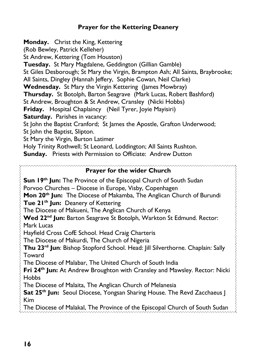## **Prayer for the Kettering Deanery**

**Monday.** Christ the King, Kettering (Rob Bewley, Patrick Kelleher) St Andrew, Kettering (Tom Houston) **Tuesday.** St Mary Magdalene, Geddington (Gillian Gamble) St Giles Desborough; St Mary the Virgin, Brampton Ash; All Saints, Braybrooke; All Saints, Dingley (Hannah Jeffery, Sophie Cowan, Neil Clarke) **Wednesday.** St Mary the Virgin Kettering (James Mowbray) **Thursday.** St Botolph, Barton Seagrave (Mark Lucas, Robert Bashford) St Andrew, Broughton & St Andrew, Cransley (Nicki Hobbs) **Friday.** Hospital Chaplaincy (Neil Tyrer, Joyie Mayisiri) **Saturday.** Parishes in vacancy: St John the Baptist Cranford; St James the Apostle, Grafton Underwood; St John the Baptist, Slipton. St Mary the Virgin, Burton Latimer Holy Trinity Rothwell; St Leonard, Loddington; All Saints Rushton. **Sunday.** Priests with Permission to Officiate: Andrew Dutton

#### **Prayer for the wider Church**

**Sun 19<sup>th</sup> Jun:** The Province of the Episcopal Church of South Sudan

Porvoo Churches – Diocese in Europe, Visby, Copenhagen

**Mon 20th Jun:** The Diocese of Makamba, The Anglican Church of Burundi **Tue 21th Jun:** Deanery of Kettering

The Diocese of Makueni, The Anglican Church of Kenya

**Wed 22nd Jun:** Barton Seagrave St Botolph, Warkton St Edmund. Rector: Mark Lucas

Hayfield Cross CofE School. Head Craig Charteris

The Diocese of Makurdi, The Church of Nigeria

**Thu 23rd Jun**: Bishop Stopford School. Head: Jill Silverthorne. Chaplain: Sally **Toward** 

The Diocese of Malabar, The United Church of South India

**Fri 24<sup>th</sup> Jun:** At Andrew Broughton with Cransley and Mawsley. Rector: Nicki **Hobbs** 

The Diocese of Malaita, The Anglican Church of Melanesia

**Sat 25<sup>th</sup> Jun:** Seoul Diocese, Yongsan Sharing House. The Revd Zacchaeus J. Kim

The Diocese of Malakal, The Province of the Episcopal Church of South Sudan